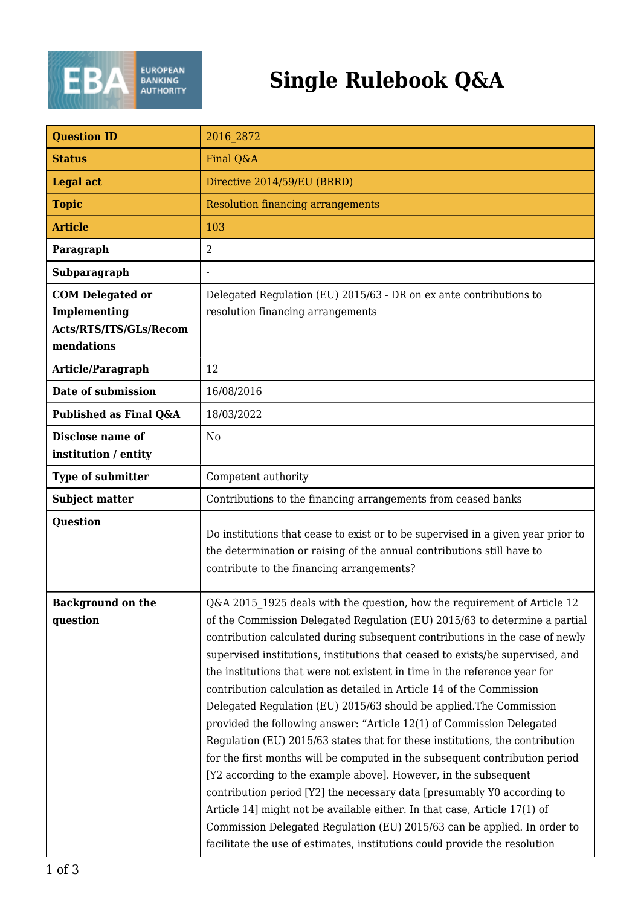

## **Single Rulebook Q&A**

| <b>Question ID</b>                                                              | 2016 2872                                                                                                                                                                                                                                                                                                                                                                                                                                                                                                                                                                                                                                                                                                                                                                                                                                                                                                                                                                                                                                                                                                                                                                         |
|---------------------------------------------------------------------------------|-----------------------------------------------------------------------------------------------------------------------------------------------------------------------------------------------------------------------------------------------------------------------------------------------------------------------------------------------------------------------------------------------------------------------------------------------------------------------------------------------------------------------------------------------------------------------------------------------------------------------------------------------------------------------------------------------------------------------------------------------------------------------------------------------------------------------------------------------------------------------------------------------------------------------------------------------------------------------------------------------------------------------------------------------------------------------------------------------------------------------------------------------------------------------------------|
| <b>Status</b>                                                                   | Final Q&A                                                                                                                                                                                                                                                                                                                                                                                                                                                                                                                                                                                                                                                                                                                                                                                                                                                                                                                                                                                                                                                                                                                                                                         |
| <b>Legal act</b>                                                                | Directive 2014/59/EU (BRRD)                                                                                                                                                                                                                                                                                                                                                                                                                                                                                                                                                                                                                                                                                                                                                                                                                                                                                                                                                                                                                                                                                                                                                       |
| <b>Topic</b>                                                                    | <b>Resolution financing arrangements</b>                                                                                                                                                                                                                                                                                                                                                                                                                                                                                                                                                                                                                                                                                                                                                                                                                                                                                                                                                                                                                                                                                                                                          |
| <b>Article</b>                                                                  | 103                                                                                                                                                                                                                                                                                                                                                                                                                                                                                                                                                                                                                                                                                                                                                                                                                                                                                                                                                                                                                                                                                                                                                                               |
| Paragraph                                                                       | $\overline{2}$                                                                                                                                                                                                                                                                                                                                                                                                                                                                                                                                                                                                                                                                                                                                                                                                                                                                                                                                                                                                                                                                                                                                                                    |
| Subparagraph                                                                    |                                                                                                                                                                                                                                                                                                                                                                                                                                                                                                                                                                                                                                                                                                                                                                                                                                                                                                                                                                                                                                                                                                                                                                                   |
| <b>COM Delegated or</b><br>Implementing<br>Acts/RTS/ITS/GLs/Recom<br>mendations | Delegated Regulation (EU) 2015/63 - DR on ex ante contributions to<br>resolution financing arrangements                                                                                                                                                                                                                                                                                                                                                                                                                                                                                                                                                                                                                                                                                                                                                                                                                                                                                                                                                                                                                                                                           |
| Article/Paragraph                                                               | 12                                                                                                                                                                                                                                                                                                                                                                                                                                                                                                                                                                                                                                                                                                                                                                                                                                                                                                                                                                                                                                                                                                                                                                                |
| Date of submission                                                              | 16/08/2016                                                                                                                                                                                                                                                                                                                                                                                                                                                                                                                                                                                                                                                                                                                                                                                                                                                                                                                                                                                                                                                                                                                                                                        |
| Published as Final Q&A                                                          | 18/03/2022                                                                                                                                                                                                                                                                                                                                                                                                                                                                                                                                                                                                                                                                                                                                                                                                                                                                                                                                                                                                                                                                                                                                                                        |
| Disclose name of<br>institution / entity                                        | N <sub>o</sub>                                                                                                                                                                                                                                                                                                                                                                                                                                                                                                                                                                                                                                                                                                                                                                                                                                                                                                                                                                                                                                                                                                                                                                    |
| <b>Type of submitter</b>                                                        | Competent authority                                                                                                                                                                                                                                                                                                                                                                                                                                                                                                                                                                                                                                                                                                                                                                                                                                                                                                                                                                                                                                                                                                                                                               |
| <b>Subject matter</b>                                                           | Contributions to the financing arrangements from ceased banks                                                                                                                                                                                                                                                                                                                                                                                                                                                                                                                                                                                                                                                                                                                                                                                                                                                                                                                                                                                                                                                                                                                     |
| <b>Question</b>                                                                 | Do institutions that cease to exist or to be supervised in a given year prior to<br>the determination or raising of the annual contributions still have to<br>contribute to the financing arrangements?                                                                                                                                                                                                                                                                                                                                                                                                                                                                                                                                                                                                                                                                                                                                                                                                                                                                                                                                                                           |
| <b>Background on the</b><br>question                                            | Q&A 2015 1925 deals with the question, how the requirement of Article 12<br>of the Commission Delegated Regulation (EU) 2015/63 to determine a partial<br>contribution calculated during subsequent contributions in the case of newly<br>supervised institutions, institutions that ceased to exists/be supervised, and<br>the institutions that were not existent in time in the reference year for<br>contribution calculation as detailed in Article 14 of the Commission<br>Delegated Regulation (EU) 2015/63 should be applied. The Commission<br>provided the following answer: "Article 12(1) of Commission Delegated<br>Regulation (EU) 2015/63 states that for these institutions, the contribution<br>for the first months will be computed in the subsequent contribution period<br>[Y2 according to the example above]. However, in the subsequent<br>contribution period [Y2] the necessary data [presumably Y0 according to<br>Article 14] might not be available either. In that case, Article 17(1) of<br>Commission Delegated Regulation (EU) 2015/63 can be applied. In order to<br>facilitate the use of estimates, institutions could provide the resolution |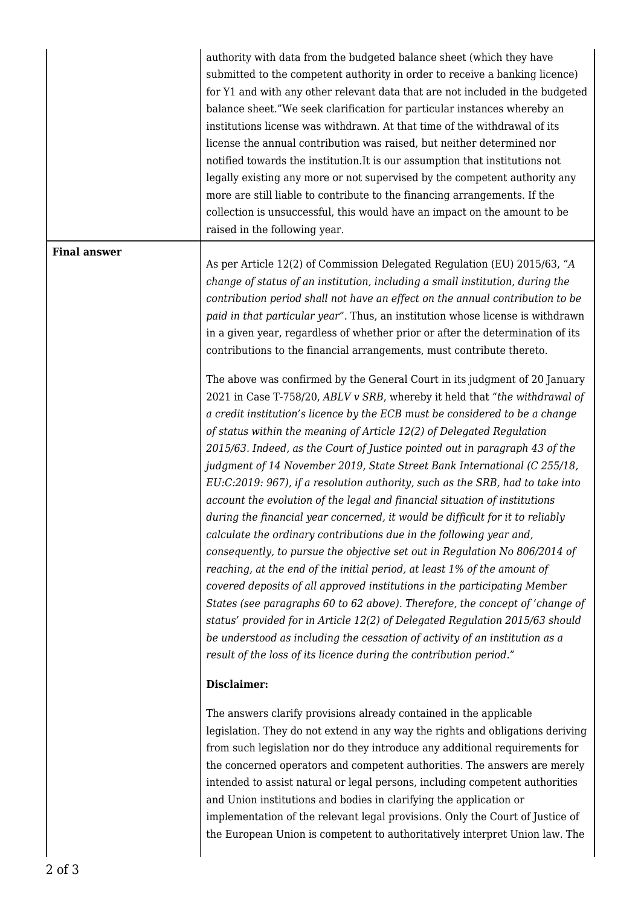|                     | authority with data from the budgeted balance sheet (which they have<br>submitted to the competent authority in order to receive a banking licence)<br>for Y1 and with any other relevant data that are not included in the budgeted<br>balance sheet."We seek clarification for particular instances whereby an<br>institutions license was withdrawn. At that time of the withdrawal of its<br>license the annual contribution was raised, but neither determined nor<br>notified towards the institution. It is our assumption that institutions not<br>legally existing any more or not supervised by the competent authority any<br>more are still liable to contribute to the financing arrangements. If the<br>collection is unsuccessful, this would have an impact on the amount to be<br>raised in the following year.                                                                                                                                                                                                                                                                                                                                                                                                                                                                                                                                                                                                                                                                                                                                                                                                                                                                                                                                                                                                                                         |
|---------------------|--------------------------------------------------------------------------------------------------------------------------------------------------------------------------------------------------------------------------------------------------------------------------------------------------------------------------------------------------------------------------------------------------------------------------------------------------------------------------------------------------------------------------------------------------------------------------------------------------------------------------------------------------------------------------------------------------------------------------------------------------------------------------------------------------------------------------------------------------------------------------------------------------------------------------------------------------------------------------------------------------------------------------------------------------------------------------------------------------------------------------------------------------------------------------------------------------------------------------------------------------------------------------------------------------------------------------------------------------------------------------------------------------------------------------------------------------------------------------------------------------------------------------------------------------------------------------------------------------------------------------------------------------------------------------------------------------------------------------------------------------------------------------------------------------------------------------------------------------------------------------|
| <b>Final answer</b> | As per Article 12(2) of Commission Delegated Regulation (EU) 2015/63, "A<br>change of status of an institution, including a small institution, during the<br>contribution period shall not have an effect on the annual contribution to be<br>paid in that particular year". Thus, an institution whose license is withdrawn<br>in a given year, regardless of whether prior or after the determination of its<br>contributions to the financial arrangements, must contribute thereto.<br>The above was confirmed by the General Court in its judgment of 20 January<br>2021 in Case T-758/20, ABLV v SRB, whereby it held that "the withdrawal of<br>a credit institution's licence by the ECB must be considered to be a change<br>of status within the meaning of Article 12(2) of Delegated Regulation<br>2015/63. Indeed, as the Court of Justice pointed out in paragraph 43 of the<br>judgment of 14 November 2019, State Street Bank International (C 255/18,<br>EU:C:2019: 967), if a resolution authority, such as the SRB, had to take into<br>account the evolution of the legal and financial situation of institutions<br>during the financial year concerned, it would be difficult for it to reliably<br>calculate the ordinary contributions due in the following year and,<br>consequently, to pursue the objective set out in Regulation No 806/2014 of<br>reaching, at the end of the initial period, at least 1% of the amount of<br>covered deposits of all approved institutions in the participating Member<br>States (see paragraphs 60 to 62 above). Therefore, the concept of 'change of<br>status' provided for in Article 12(2) of Delegated Regulation 2015/63 should<br>be understood as including the cessation of activity of an institution as a<br>result of the loss of its licence during the contribution period."<br>Disclaimer: |
|                     | The answers clarify provisions already contained in the applicable<br>legislation. They do not extend in any way the rights and obligations deriving<br>from such legislation nor do they introduce any additional requirements for<br>the concerned operators and competent authorities. The answers are merely<br>intended to assist natural or legal persons, including competent authorities<br>and Union institutions and bodies in clarifying the application or<br>implementation of the relevant legal provisions. Only the Court of Justice of<br>the European Union is competent to authoritatively interpret Union law. The                                                                                                                                                                                                                                                                                                                                                                                                                                                                                                                                                                                                                                                                                                                                                                                                                                                                                                                                                                                                                                                                                                                                                                                                                                   |